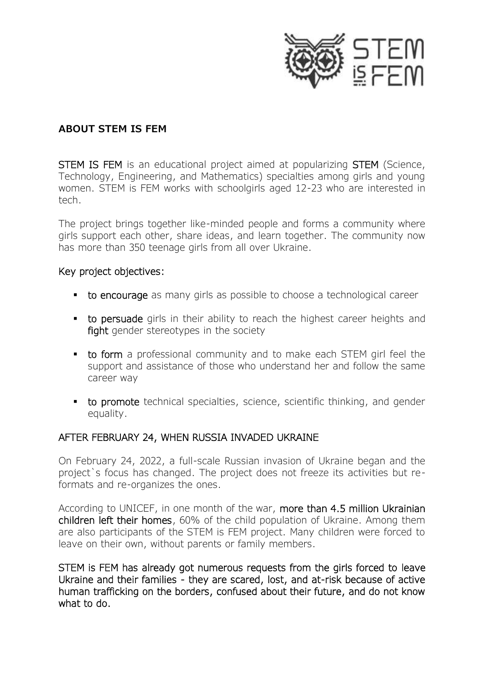

### **ABOUT STEM IS FEM**

STEM IS FEM is an educational project aimed at popularizing STEM (Science, Technology, Engineering, and Mathematics) specialties among girls and young women. STEM is FEM works with schoolgirls aged 12-23 who are interested in tech.

The project brings together like-minded people and forms a community where girls support each other, share ideas, and learn together. The community now has more than 350 teenage girls from all over Ukraine.

#### Key project objectives:

- to encourage as many girls as possible to choose a technological career
- **to persuade** girls in their ability to reach the highest career heights and fight gender stereotypes in the society
- **to form** a professional community and to make each STEM girl feel the support and assistance of those who understand her and follow the same career way
- **to promote** technical specialties, science, scientific thinking, and gender equality.

## AFTER FEBRUARY 24, WHEN RUSSIA INVADED UKRAINE

On February 24, 2022, a full-scale Russian invasion of Ukraine began and the project`s focus has changed. The project does not freeze its activities but reformats and re-organizes the ones.

According to UNICEF, in one month of the war, more than 4.5 million Ukrainian children left their homes, 60% of the child population of Ukraine. Among them are also participants of the STEM is FEM project. Many children were forced to leave on their own, without parents or family members.

STEM is FEM has already got numerous requests from the girls forced to leave Ukraine and their families - they are scared, lost, and at-risk because of active human trafficking on the borders, confused about their future, and do not know what to do.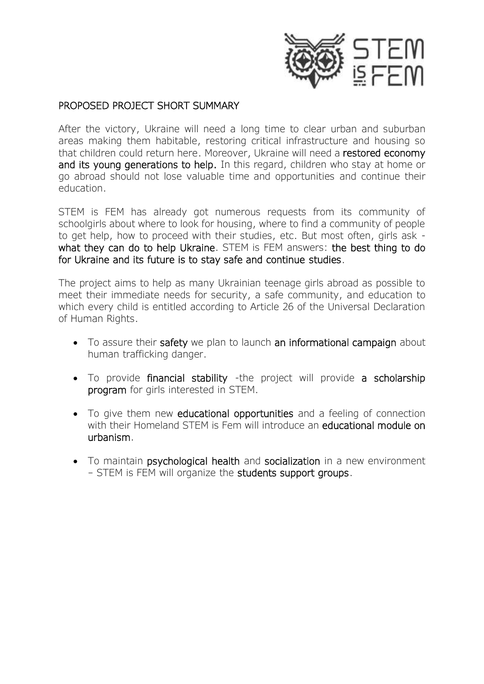

#### PROPOSED PROJECT SHORT SUMMARY

After the victory, Ukraine will need a long time to clear urban and suburban areas making them habitable, restoring critical infrastructure and housing so that children could return here. Moreover, Ukraine will need a restored economy and its young generations to help. In this regard, children who stay at home or go abroad should not lose valuable time and opportunities and continue their education.

STEM is FEM has already got numerous requests from its community of schoolgirls about where to look for housing, where to find a community of people to get help, how to proceed with their studies, etc. But most often, girls ask what they can do to help Ukraine. STEM is FEM answers: the best thing to do for Ukraine and its future is to stay safe and continue studies.

The project aims to help as many Ukrainian teenage girls abroad as possible to meet their immediate needs for security, a safe community, and education to which every child is entitled according to Article 26 of the Universal Declaration of Human Rights.

- To assure their safety we plan to launch an informational campaign about human trafficking danger.
- To provide financial stability -the project will provide a scholarship program for girls interested in STEM.
- To give them new educational opportunities and a feeling of connection with their Homeland STEM is Fem will introduce an **educational module on** urbanism.
- To maintain psychological health and socialization in a new environment – STEM is FEM will organize the students support groups.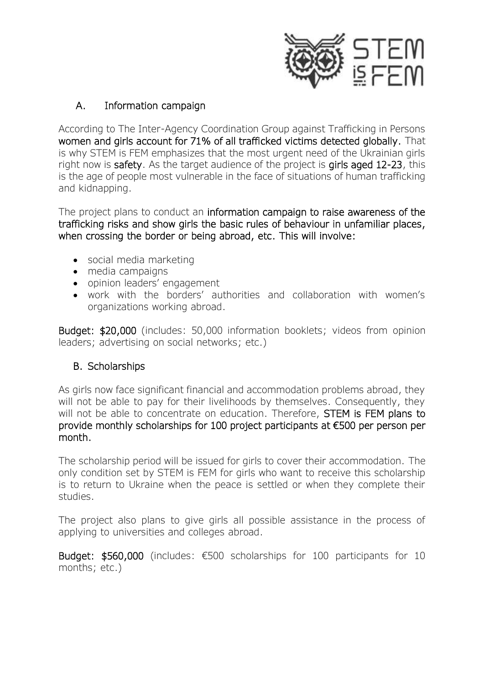

## A. Information campaign

According to The Inter-Agency Coordination Group against Trafficking in Persons women and girls account for 71% of all trafficked victims detected globally. That is why STEM is FEM emphasizes that the most urgent need of the Ukrainian girls right now is safety. As the target audience of the project is girls aged 12-23, this is the age of people most vulnerable in the face of situations of human trafficking and kidnapping.

The project plans to conduct an information campaign to raise awareness of the trafficking risks and show girls the basic rules of behaviour in unfamiliar places, when crossing the border or being abroad, etc. This will involve:

- social media marketing
- media campaigns
- opinion leaders' engagement
- work with the borders' authorities and collaboration with women's organizations working abroad.

Budget: \$20,000 (includes: 50,000 information booklets; videos from opinion leaders; advertising on social networks; etc.)

# B. Scholarships

As girls now face significant financial and accommodation problems abroad, they will not be able to pay for their livelihoods by themselves. Consequently, they will not be able to concentrate on education. Therefore, **STEM is FEM plans to** provide monthly scholarships for 100 project participants at €500 per person per month.

The scholarship period will be issued for girls to cover their accommodation. The only condition set by STEM is FEM for girls who want to receive this scholarship is to return to Ukraine when the peace is settled or when they complete their studies.

The project also plans to give girls all possible assistance in the process of applying to universities and colleges abroad.

Budget: \$560,000 (includes: €500 scholarships for 100 participants for 10 months; etc.)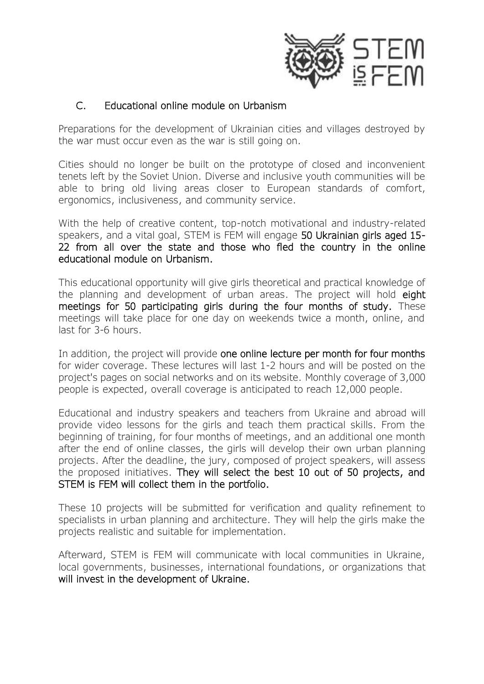

## C. Educational online module on Urbanism

Preparations for the development of Ukrainian cities and villages destroyed by the war must occur even as the war is still going on.

Cities should no longer be built on the prototype of closed and inconvenient tenets left by the Soviet Union. Diverse and inclusive youth communities will be able to bring old living areas closer to European standards of comfort, ergonomics, inclusiveness, and community service.

With the help of creative content, top-notch motivational and industry-related speakers, and a vital goal, STEM is FEM will engage 50 Ukrainian girls aged 15- 22 from all over the state and those who fled the country in the online educational module on Urbanism.

This educational opportunity will give girls theoretical and practical knowledge of the planning and development of urban areas. The project will hold eight meetings for 50 participating girls during the four months of study. These meetings will take place for one day on weekends twice a month, online, and last for 3-6 hours.

In addition, the project will provide one online lecture per month for four months for wider coverage. These lectures will last 1-2 hours and will be posted on the project's pages on social networks and on its website. Monthly coverage of 3,000 people is expected, overall coverage is anticipated to reach 12,000 people.

Educational and industry speakers and teachers from Ukraine and abroad will provide video lessons for the girls and teach them practical skills. From the beginning of training, for four months of meetings, and an additional one month after the end of online classes, the girls will develop their own urban planning projects. After the deadline, the jury, composed of project speakers, will assess the proposed initiatives. They will select the best 10 out of 50 projects, and STEM is FEM will collect them in the portfolio.

These 10 projects will be submitted for verification and quality refinement to specialists in urban planning and architecture. They will help the girls make the projects realistic and suitable for implementation.

Afterward, STEM is FEM will communicate with local communities in Ukraine, local governments, businesses, international foundations, or organizations that will invest in the development of Ukraine.